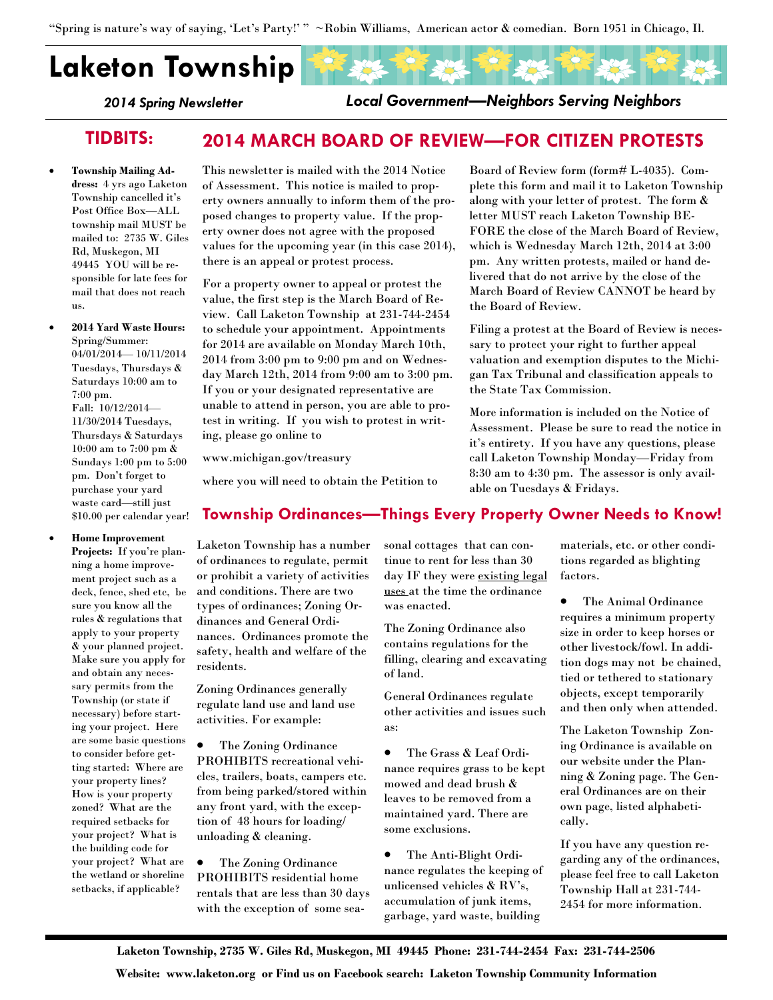"Spring is nature's way of saying, 'Let's Party!' " ~Robin Williams, American actor & comedian. Born 1951 in Chicago, Il.

# Laketon Township

2014 Spring Newsletter

Local Government—Neighbors Serving Neighbors

## TIDBITS: 2014 MARCH BOARD OF REVIEW—FOR CITIZEN PROTESTS

- Township Mailing Address: 4 yrs ago Laketon Township cancelled it's Post Office Box—ALL township mail MUST be mailed to: 2735 W. Giles Rd, Muskegon, MI 49445 YOU will be responsible for late fees for mail that does not reach us.
- 2014 Yard Waste Hours: Spring/Summer: 04/01/2014— 10/11/2014 Tuesdays, Thursdays & Saturdays 10:00 am to 7:00 pm. Fall: 10/12/2014— 11/30/2014 Tuesdays, Thursdays & Saturdays 10:00 am to 7:00 pm & Sundays 1:00 pm to 5:00 pm. Don't forget to purchase your yard waste card—still just \$10.00 per calendar year!
- Home Improvement

Projects: If you're planning a home improvement project such as a deck, fence, shed etc, be sure you know all the rules & regulations that apply to your property & your planned project. Make sure you apply for and obtain any necessary permits from the Township (or state if necessary) before starting your project. Here are some basic questions to consider before getting started: Where are your property lines? How is your property zoned? What are the required setbacks for your project? What is the building code for your project? What are the wetland or shoreline setbacks, if applicable?

This newsletter is mailed with the 2014 Notice of Assessment. This notice is mailed to property owners annually to inform them of the proposed changes to property value. If the property owner does not agree with the proposed values for the upcoming year (in this case 2014), there is an appeal or protest process.

For a property owner to appeal or protest the value, the first step is the March Board of Review. Call Laketon Township at 231-744-2454 to schedule your appointment. Appointments for 2014 are available on Monday March 10th, 2014 from 3:00 pm to 9:00 pm and on Wednesday March 12th, 2014 from 9:00 am to 3:00 pm. If you or your designated representative are unable to attend in person, you are able to protest in writing. If you wish to protest in writing, please go online to

www.michigan.gov/treasury

where you will need to obtain the Petition to

## Township Ordinances—Things Every Property Owner Needs to Know!

Laketon Township has a number of ordinances to regulate, permit or prohibit a variety of activities and conditions. There are two types of ordinances; Zoning Ordinances and General Ordinances. Ordinances promote the safety, health and welfare of the residents.

Zoning Ordinances generally regulate land use and land use activities. For example:

• The Zoning Ordinance PROHIBITS recreational vehicles, trailers, boats, campers etc. from being parked/stored within any front yard, with the exception of 48 hours for loading/ unloading & cleaning.

• The Zoning Ordinance PROHIBITS residential home rentals that are less than 30 days with the exception of some seasonal cottages that can continue to rent for less than 30 day IF they were existing legal uses at the time the ordinance was enacted.

The Zoning Ordinance also contains regulations for the filling, clearing and excavating of land.

General Ordinances regulate other activities and issues such as:

• The Grass & Leaf Ordinance requires grass to be kept mowed and dead brush & leaves to be removed from a maintained yard. There are some exclusions.

• The Anti-Blight Ordinance regulates the keeping of unlicensed vehicles & RV's, accumulation of junk items, garbage, yard waste, building

Board of Review form (form# L-4035). Complete this form and mail it to Laketon Township along with your letter of protest. The form & letter MUST reach Laketon Township BE-FORE the close of the March Board of Review, which is Wednesday March 12th, 2014 at 3:00 pm. Any written protests, mailed or hand delivered that do not arrive by the close of the March Board of Review CANNOT be heard by the Board of Review.

Filing a protest at the Board of Review is necessary to protect your right to further appeal valuation and exemption disputes to the Michigan Tax Tribunal and classification appeals to the State Tax Commission.

More information is included on the Notice of Assessment. Please be sure to read the notice in it's entirety. If you have any questions, please call Laketon Township Monday—Friday from 8:30 am to 4:30 pm. The assessor is only available on Tuesdays & Fridays.

factors.

materials, etc. or other conditions regarded as blighting

> • The Animal Ordinance requires a minimum property size in order to keep horses or other livestock/fowl. In addition dogs may not be chained, tied or tethered to stationary objects, except temporarily and then only when attended.

The Laketon Township Zoning Ordinance is available on our website under the Planning & Zoning page. The General Ordinances are on their own page, listed alphabetically.

If you have any question regarding any of the ordinances, please feel free to call Laketon Township Hall at 231-744- 2454 for more information.

Laketon Township, 2735 W. Giles Rd, Muskegon, MI 49445 Phone: 231-744-2454 Fax: 231-744-2506

Website: www.laketon.org or Find us on Facebook search: Laketon Township Community Information